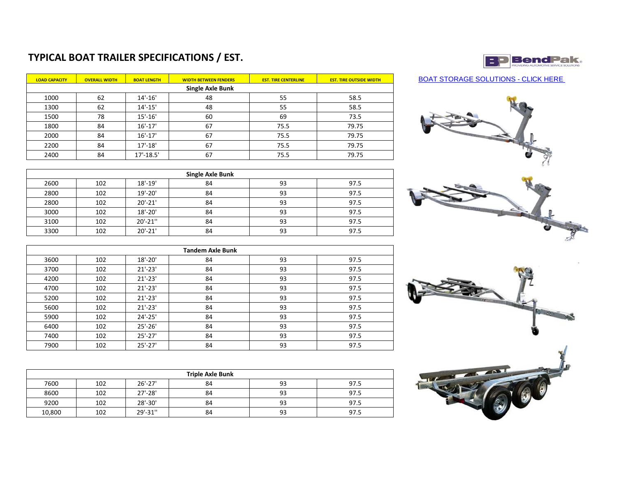## **TYPICAL BOAT TRAILER SPECIFICATIONS / EST.**

| <b>LOAD CAPACITY</b>    | <b>OVERALL WIDTH</b> | <b>BOAT LENGTH</b> | <b>WIDTH BETWEEN FENDERS</b> | <b>EST. TIRE CENTERLINE</b> | <b>EST. TIRE OUTSIDE WIDTH</b> |  |  |  |
|-------------------------|----------------------|--------------------|------------------------------|-----------------------------|--------------------------------|--|--|--|
| <b>Single Axle Bunk</b> |                      |                    |                              |                             |                                |  |  |  |
| 1000                    | 62                   | $14' - 16'$        | 48                           | 55                          | 58.5                           |  |  |  |
| 1300                    | 62                   | $14' - 15'$        | 48                           | 55                          | 58.5                           |  |  |  |
| 1500                    | 78                   | $15' - 16'$        | 60                           | 69                          | 73.5                           |  |  |  |
| 1800                    | 84                   | $16' - 17'$        | 67                           | 75.5                        | 79.75                          |  |  |  |
| 2000                    | 84                   | $16' - 17'$        | 67                           | 75.5                        | 79.75                          |  |  |  |
| 2200                    | 84                   | $17' - 18'$        | 67                           | 75.5                        | 79.75                          |  |  |  |
| 2400                    | 84                   | $17' - 18.5'$      | 67                           | 75.5                        | 79.75                          |  |  |  |

| Single Axle Bunk |     |             |    |    |      |  |
|------------------|-----|-------------|----|----|------|--|
| 2600             | 102 | $18' - 19'$ | 84 | 93 | 97.5 |  |
| 2800             | 102 | $19' - 20'$ | 84 | 93 | 97.5 |  |
| 2800             | 102 | $20' - 21'$ | 84 | 93 | 97.5 |  |
| 3000             | 102 | $18' - 20'$ | 84 | 93 | 97.5 |  |
| 3100             | 102 | $20' - 21'$ | 84 | 93 | 97.5 |  |
| 3300             | 102 | $20' - 21'$ | 84 | 93 | 97.5 |  |

| <b>Tandem Axle Bunk</b> |     |             |    |    |      |  |  |  |
|-------------------------|-----|-------------|----|----|------|--|--|--|
| 3600                    | 102 | $18'-20'$   | 84 | 93 | 97.5 |  |  |  |
| 3700                    | 102 | $21'-23'$   | 84 | 93 | 97.5 |  |  |  |
| 4200                    | 102 | $21'-23'$   | 84 | 93 | 97.5 |  |  |  |
| 4700                    | 102 | $21'-23'$   | 84 | 93 | 97.5 |  |  |  |
| 5200                    | 102 | $21'-23'$   | 84 | 93 | 97.5 |  |  |  |
| 5600                    | 102 | $21' - 23'$ | 84 | 93 | 97.5 |  |  |  |
| 5900                    | 102 | $24' - 25'$ | 84 | 93 | 97.5 |  |  |  |
| 6400                    | 102 | $25' - 26'$ | 84 | 93 | 97.5 |  |  |  |
| 7400                    | 102 | $25' - 27'$ | 84 | 93 | 97.5 |  |  |  |
| 7900                    | 102 | $25'-27'$   | 84 | 93 | 97.5 |  |  |  |

| <b>Triple Axle Bunk</b> |     |             |    |    |      |  |  |
|-------------------------|-----|-------------|----|----|------|--|--|
| 7600                    | 102 | $26' - 27'$ | 84 | 93 | 97.5 |  |  |
| 8600                    | 102 | $27' - 28'$ | 84 | 93 | 97.5 |  |  |
| 9200                    | 102 | 28'-30'     | 84 | 93 | 97.5 |  |  |
| 10,800                  | 102 | 29'-31"     | 84 | 93 | 97.5 |  |  |



BOAT STORAGE SOLUTIONS - CLICK HERE



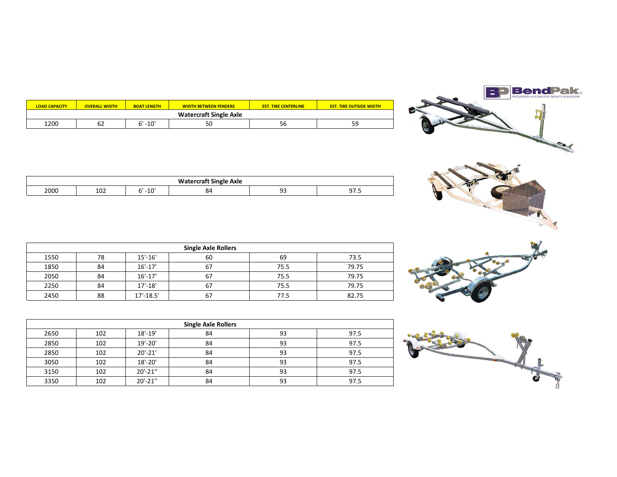|  | <b>BendPak</b> |
|--|----------------|
|  |                |
|  |                |
|  |                |







| <b>LOAD CAPACITY</b> | <b>OVERALL WIDTH</b>          | <b>BOAT LENGTH</b> | <b>WIDTH BETWEEN FENDERS</b> | <b>EST. TIRE CENTERLINE</b> | <b>EST. TIRE OUTSIDE WIDTH</b> |  |  |
|----------------------|-------------------------------|--------------------|------------------------------|-----------------------------|--------------------------------|--|--|
|                      | <b>Watercraft Single Axle</b> |                    |                              |                             |                                |  |  |
| 1200                 | 62                            | $-10'$             | 50                           | 56                          | 59<br>ر ر                      |  |  |

| $\ddot{\phantom{0}}$<br>--<br>` Axle<br>. Single |                        |              |           |     |                |  |
|--------------------------------------------------|------------------------|--------------|-----------|-----|----------------|--|
| 2000                                             | 10 <sup>4</sup><br>TOT | $-10$<br>$-$ | י כ<br>Λ₽ | n - | -- -<br>ر. ، ر |  |

| <b>Single Axle Rollers</b> |    |               |    |      |       |  |  |
|----------------------------|----|---------------|----|------|-------|--|--|
| 1550                       | 78 | $15' - 16'$   | 60 | 69   | 73.5  |  |  |
| 1850                       | 84 | $16' - 17'$   | 67 | 75.5 | 79.75 |  |  |
| 2050                       | 84 | $16' - 17'$   | 67 | 75.5 | 79.75 |  |  |
| 2250                       | 84 | $17' - 18'$   | 67 | 75.5 | 79.75 |  |  |
| 2450                       | 88 | $17' - 18.5'$ | 67 | 77.5 | 82.75 |  |  |

| <b>Single Axle Rollers</b> |     |              |    |    |      |  |
|----------------------------|-----|--------------|----|----|------|--|
| 2650                       | 102 | $18' - 19'$  | 84 | 93 | 97.5 |  |
| 2850                       | 102 | $19' - 20'$  | 84 | 93 | 97.5 |  |
| 2850                       | 102 | $20' - 21'$  | 84 | 93 | 97.5 |  |
| 3050                       | 102 | $18' - 20'$  | 84 | 93 | 97.5 |  |
| 3150                       | 102 | $20' - 21''$ | 84 | 93 | 97.5 |  |
| 3350                       | 102 | $20' - 21'$  | 84 | 93 | 97.5 |  |